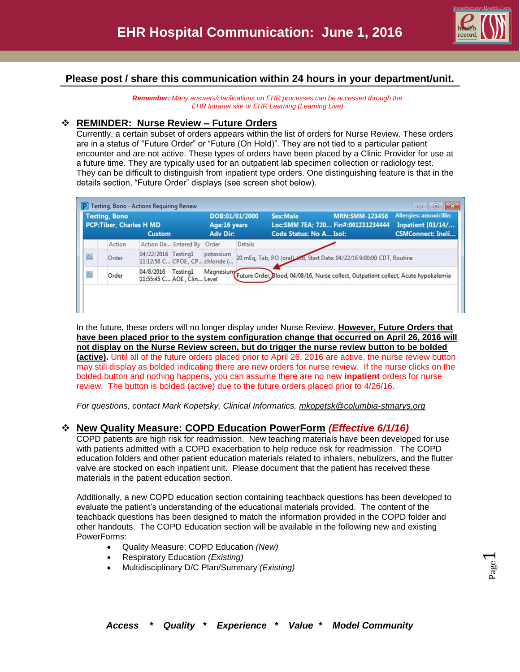

# **Please post / share this communication within 24 hours in your department/unit.**

#### *Remember: Many answers/clarifications on EHR processes can be accessed through the EHR Intranet site or EHR Learning (Learning Live)*

#### **REMINDER: Nurse Review – Future Orders**

Currently, a certain subset of orders appears within the list of orders for Nurse Review. These orders are in a status of "Future Order" or "Future (On Hold)". They are not tied to a particular patient encounter and are not active. These types of orders have been placed by a Clinic Provider for use at a future time. They are typically used for an outpatient lab specimen collection or radiology test. They can be difficult to distinguish from inpatient type orders. One distinguishing feature is that in the details section, "Future Order" displays (see screen shot below).

| <b>Testing, Bono</b><br><b>PCP:Tiber, Charles H MD</b><br><b>Custom</b> |        |                                         | DOB:01/01/2000<br>Age:16 years<br><b>Adv Dir:</b> |           | <b>Sex:Male</b><br>Loc:SMM 7EA; 720 Fin#:001231234444<br><b>Code Status: No A Isol:</b> | <b>MRN:SMM-123456</b>                                                                         | <b>Allergies: amoxicillin</b><br><b>Inpatient [03/14/</b><br><b>CSMConnect: Ineli</b> |  |
|-------------------------------------------------------------------------|--------|-----------------------------------------|---------------------------------------------------|-----------|-----------------------------------------------------------------------------------------|-----------------------------------------------------------------------------------------------|---------------------------------------------------------------------------------------|--|
|                                                                         | Action |                                         | Action Da Entered By                              | Order     | Details                                                                                 |                                                                                               |                                                                                       |  |
| $\boxed{2}$                                                             | Order  | 04/22/2016 Testing1                     | 11:12:58 C CPOE, CP chloride (                    | potassium |                                                                                         | 20 mEg, Tab, PO (oral) and, Start Date: 04/22/16 9:00:00 CDT, Routine                         |                                                                                       |  |
| $\overline{\mathbf{z}}$                                                 | Order  | 04/8/2016<br>11:55:45 C AOE, Clin Level | Testing1                                          |           |                                                                                         | Magnesium Future Order, Blood, 04/08/16, Nurse collect, Outpatient collect, Acute hypokalemia |                                                                                       |  |

In the future, these orders will no longer display under Nurse Review. **However, Future Orders that have been placed prior to the system configuration change that occurred on April 26, 2016 will not display on the Nurse Review screen, but do trigger the nurse review button to be bolded (active).** Until all of the future orders placed prior to April 26, 2016 are active, the nurse review button may still display as bolded indicating there are new orders for nurse review. If the nurse clicks on the bolded button and nothing happens, you can assume there are no new **inpatient** orders for nurse review. The button is bolded (active) due to the future orders placed prior to 4/26/16.

*For questions, contact Mark Kopetsky, Clinical Informatics, [mkopetsk@columbia-stmarys.org](mailto:mkopetsk@columbia-stmarys.org)*

## **New Quality Measure: COPD Education PowerForm** *(Effective 6/1/16)*

COPD patients are high risk for readmission. New teaching materials have been developed for use with patients admitted with a COPD exacerbation to help reduce risk for readmission. The COPD education folders and other patient education materials related to inhalers, nebulizers, and the flutter valve are stocked on each inpatient unit. Please document that the patient has received these materials in the patient education section.

Additionally, a new COPD education section containing teachback questions has been developed to evaluate the patient's understanding of the educational materials provided. The content of the teachback questions has been designed to match the information provided in the COPD folder and other handouts. The COPD Education section will be available in the following new and existing PowerForms:

- Quality Measure: COPD Education *(New)*
- Respiratory Education *(Existing)*
- Multidisciplinary D/C Plan/Summary *(Existing)*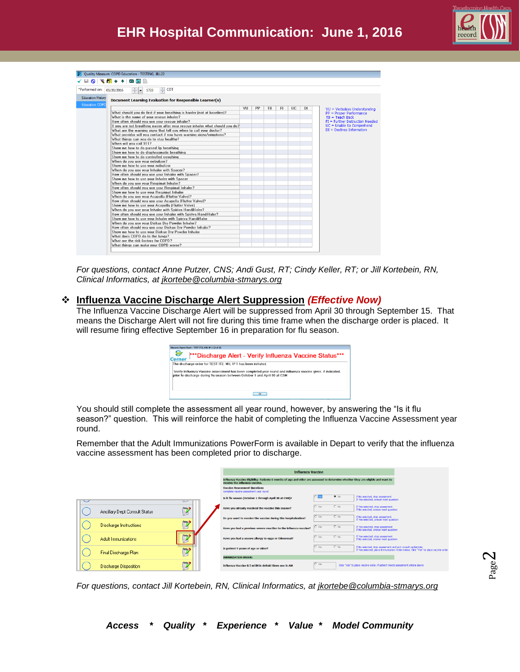

|                           | P Quality Measure: COPD Education - TESTING, JILL22<br>√BOI∜®I↑↑ ◙ @                        |           |    |    |     |    |    |                                   |
|---------------------------|---------------------------------------------------------------------------------------------|-----------|----|----|-----|----|----|-----------------------------------|
|                           |                                                                                             |           |    |    |     |    |    |                                   |
| *Performed on: 05/20/2016 | ≑ CDT<br>$\frac{1}{2}$ - 1722                                                               |           |    |    |     |    |    |                                   |
| <b>Education History</b>  | Document Learning Evaluation for Responsible Learner(s)                                     |           |    |    |     |    |    |                                   |
| Education: COPE           |                                                                                             | <b>VU</b> | PP | TB | FL. | UC | DI | VU = Verbalizes Understanding     |
|                           | What should you do first if your breathing is harder fnot at baseline ??                    |           |    |    |     |    |    | PP = Proper Performance           |
|                           | What is the name of your rescue inhaler?                                                    |           |    |    |     |    |    | $TB = Teacher$ Back               |
|                           | How often should you use your rescue inhaler?                                               |           |    |    |     |    |    | $FI = Further Instruction Needed$ |
|                           | If you are not breathing easier after your rescue inhaler what should you do?               |           |    |    |     |    |    | UC = Unable to Comprehend         |
|                           | What are the warning signs that tell you when to call your doctor?                          |           |    |    |     |    |    | $DI = Declines Information$       |
|                           | What provider will you contact if you have warning signs/symptoms?                          |           |    |    |     |    |    |                                   |
|                           | What things can you do to stay healthy?                                                     |           |    |    |     |    |    |                                   |
|                           | When will you call 911?                                                                     |           |    |    |     |    |    |                                   |
|                           | Show me how to do pursed lip breathing                                                      |           |    |    |     |    |    |                                   |
|                           | Show me how to do diaphragmatic breathing                                                   |           |    |    |     |    |    |                                   |
|                           | Show me how to do controlled coughing.                                                      |           |    |    |     |    |    |                                   |
|                           | When do you use your nebulizer?                                                             |           |    |    |     |    |    |                                   |
|                           | Show me how to use your nebulizer                                                           |           |    |    |     |    |    |                                   |
|                           | When do you use your Inhaler with Spacer?                                                   |           |    |    |     |    |    |                                   |
|                           | How often should you use your Inhaler with Spacer?                                          |           |    |    |     |    |    |                                   |
|                           | Show me how to use your Inhaler with Spacer                                                 |           |    |    |     |    |    |                                   |
|                           | When do you use your Respimat Inhaler?                                                      |           |    |    |     |    |    |                                   |
|                           |                                                                                             |           |    |    |     |    |    |                                   |
|                           | How often should you use your Respimat Inhaler?<br>Show me how to use your Respimat Inhaler |           |    |    |     |    |    |                                   |
|                           |                                                                                             |           |    |    |     |    |    |                                   |
|                           | When do you use your Acapella (Flutter Valve)?                                              |           |    |    |     |    |    |                                   |
|                           | How often should you use your Acapella (Flutter Valve)?                                     |           |    |    |     |    |    |                                   |
|                           | Show me how to use your Acapella (Flutter Valve)                                            |           |    |    |     |    |    |                                   |
|                           | When do you use your Inhaler with Spiriva HandiHaler?                                       |           |    |    |     |    |    |                                   |
|                           | How often should you use your Inhaler with Spiriva HandiHaler?                              |           |    |    |     |    |    |                                   |
|                           | Show me how to use your Inhaler with Spiriva HandiHaler                                     |           |    |    |     |    |    |                                   |
|                           | When do you use your Diskus Dry Powder Inhaler?                                             |           |    |    |     |    |    |                                   |
|                           | How often should you use your Diskus Dry Powder Inhaler?                                    |           |    |    |     |    |    |                                   |
|                           | Show me how to use your Diskus Dry Powder Inhaler                                           |           |    |    |     |    |    |                                   |
|                           | What does COPD do to the lungs?                                                             |           |    |    |     |    |    |                                   |
|                           | What are the risk factors for COPD?                                                         |           |    |    |     |    |    |                                   |
|                           | What things can make your COPD worse?                                                       |           |    |    |     |    |    |                                   |

*For questions, contact Anne Putzer, CNS; Andi Gust, RT; Cindy Keller, RT; or Jill Kortebein, RN, Clinical Informatics, at [jkortebe@columbia-stmarys.org](mailto:jkortebe@columbia-stmarys.org)*

### **Influenza Vaccine Discharge Alert Suppression** *(Effective Now)*

The Influenza Vaccine Discharge Alert will be suppressed from April 30 through September 15. That means the Discharge Alert will not fire during this time frame when the discharge order is placed. It will resume firing effective September 16 in preparation for flu season.



You should still complete the assessment all year round, however, by answering the "Is it flu season?" question. This will reinforce the habit of completing the Influenza Vaccine Assessment year round.

Remember that the Adult Immunizations PowerForm is available in Depart to verify that the influenza vaccine assessment has been completed prior to discharge.

|                               |                                                                                                                                                                     |                                                                               | <b>Influenza Vaccine</b> |             |                                                                                                                                                    |  |  |
|-------------------------------|---------------------------------------------------------------------------------------------------------------------------------------------------------------------|-------------------------------------------------------------------------------|--------------------------|-------------|----------------------------------------------------------------------------------------------------------------------------------------------------|--|--|
|                               | Influenza Vaccine Eligibility: Patients 6 months of age and older are assessed to determine whether they are eligible and want to<br>receive the influenza vaccine. |                                                                               |                          |             |                                                                                                                                                    |  |  |
|                               |                                                                                                                                                                     | <b>Vaccine Assessment Questions</b><br>Complete vaccine assessment year round |                          |             |                                                                                                                                                    |  |  |
|                               | <b>Line</b>                                                                                                                                                         | Is it flu season (October 1 through April 30 at CSM)?                         |                          | <b>G</b> No | If No selected, stop assessment<br>If Yes selected, answer next question                                                                           |  |  |
| Ancillary Dept Consult Status | <b>Roms</b>                                                                                                                                                         | Have you already received the vaccine this season?                            | O Yes                    | $O$ No      | If Yes selected, stop assessment<br>If No selected, answer next question                                                                           |  |  |
|                               | <b>Toma</b> <sub>5</sub>                                                                                                                                            | Do you want to receive the vaccine during this hospitalization?               | O Yes                    | $O$ No      | If No selected, stop assessment<br>If Yes selected, answer next question                                                                           |  |  |
| Discharge Instructions        |                                                                                                                                                                     | Have you had a previous severe reaction to the influenza vaccine?             | O Yes                    | $O$ No      | If Yes selected, stop assessment<br>If No selected, answer next question                                                                           |  |  |
| <b>Adult Immunizations</b>    | 2000                                                                                                                                                                | Have you had a severe allergy to eggs or thimerosal?                          | O Yes                    | $O$ No      | If Yes selected, stop assessment<br>If No selected, answer next question                                                                           |  |  |
| Final Discharge Plan          |                                                                                                                                                                     | Is patient 9 years of age or older?                                           | O Yes                    | $O$ No      | If No selected, stop assessment and and consult pediatrician<br>If Yes selected, place Immunization Order below. Clck "Yes" to place vaccine order |  |  |
|                               |                                                                                                                                                                     | <b>IMMUNIZATION ORDER:</b>                                                    |                          |             |                                                                                                                                                    |  |  |
| <b>Discharge Disposition</b>  |                                                                                                                                                                     | Influenza Vaccine 0.5 ml IM in deltoid times one in AM                        | O Yes                    |             | Clck "Yes" to place vacche order, if patient meets assessment criteria above                                                                       |  |  |

*For questions, contact Jill Kortebein, RN, Clinical Informatics, at [jkortebe@columbia-stmarys.org](mailto:jkortebe@columbia-stmarys.org)*